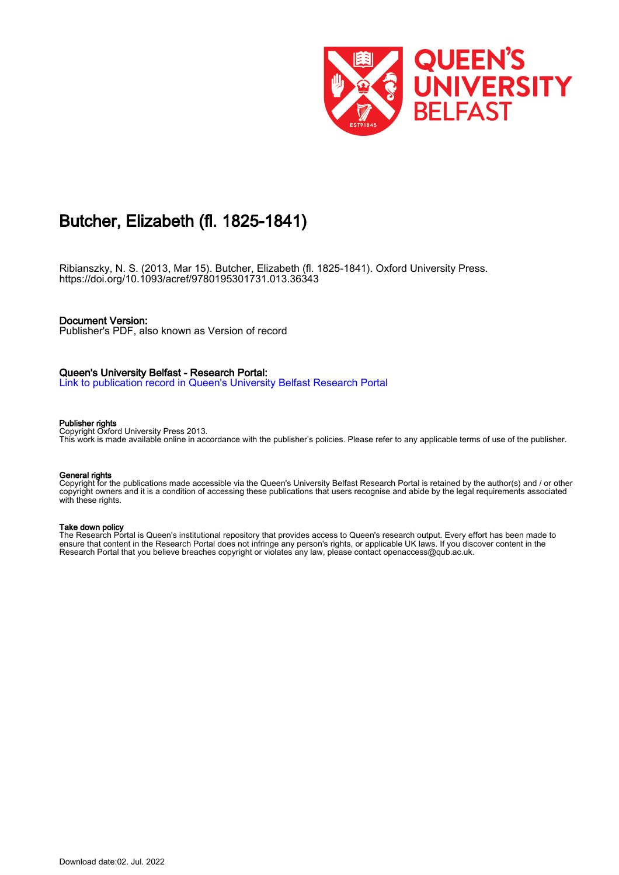

# Butcher, Elizabeth (fl. 1825-1841)

Ribianszky, N. S. (2013, Mar 15). Butcher, Elizabeth (fl. 1825-1841). Oxford University Press. <https://doi.org/10.1093/acref/9780195301731.013.36343>

### Document Version:

Publisher's PDF, also known as Version of record

### Queen's University Belfast - Research Portal:

[Link to publication record in Queen's University Belfast Research Portal](https://pure.qub.ac.uk/en/publications/3d2b13a9-8cda-4a9d-83c6-398e3dd5a6e6)

#### Publisher rights

Copyright Oxford University Press 2013. This work is made available online in accordance with the publisher's policies. Please refer to any applicable terms of use of the publisher.

#### General rights

Copyright for the publications made accessible via the Queen's University Belfast Research Portal is retained by the author(s) and / or other copyright owners and it is a condition of accessing these publications that users recognise and abide by the legal requirements associated with these rights.

#### Take down policy

The Research Portal is Queen's institutional repository that provides access to Queen's research output. Every effort has been made to ensure that content in the Research Portal does not infringe any person's rights, or applicable UK laws. If you discover content in the Research Portal that you believe breaches copyright or violates any law, please contact openaccess@qub.ac.uk.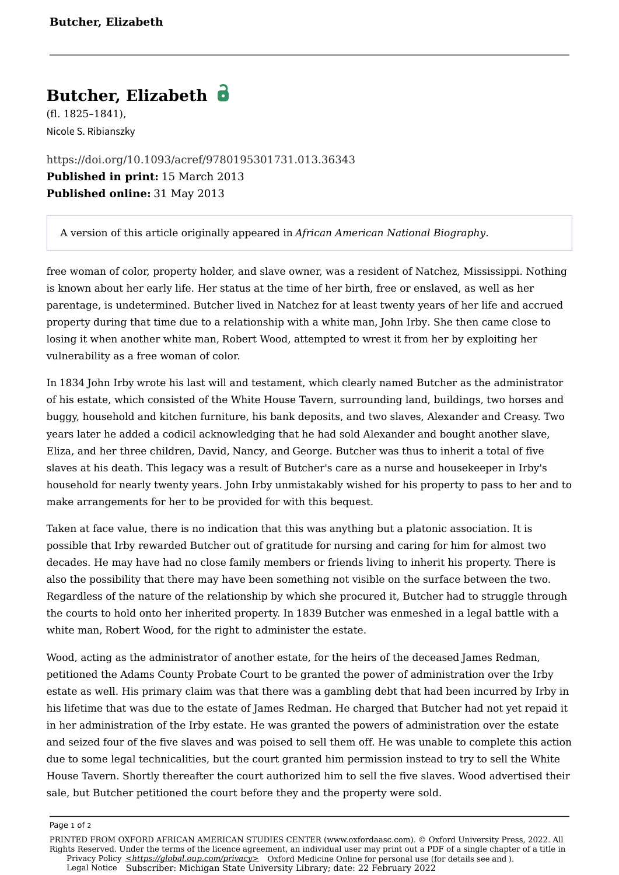# **Butcher, Elizabeth**

(fl. 1825–1841), Nicole S. Ribianszky

<https://doi.org/10.1093/acref/9780195301731.013.36343> **Published in print:** 15 March 2013 **Published online:** 31 May 2013

A version of this article originally appeared in *African American National Biography*.

free woman of color, property holder, and slave owner, was a resident of Natchez, Mississippi. Nothing is known about her early life. Her status at the time of her birth, free or enslaved, as well as her parentage, is undetermined. Butcher lived in Natchez for at least twenty years of her life and accrued property during that time due to a relationship with a white man, John Irby. She then came close to losing it when another white man, Robert Wood, attempted to wrest it from her by exploiting her vulnerability as a free woman of color.

In 1834 John Irby wrote his last will and testament, which clearly named Butcher as the administrator of his estate, which consisted of the White House Tavern, surrounding land, buildings, two horses and buggy, household and kitchen furniture, his bank deposits, and two slaves, Alexander and Creasy. Two years later he added a codicil acknowledging that he had sold Alexander and bought another slave, Eliza, and her three children, David, Nancy, and George. Butcher was thus to inherit a total of five slaves at his death. This legacy was a result of Butcher's care as a nurse and housekeeper in Irby's household for nearly twenty years. John Irby unmistakably wished for his property to pass to her and to make arrangements for her to be provided for with this bequest.

Taken at face value, there is no indication that this was anything but a platonic association. It is possible that Irby rewarded Butcher out of gratitude for nursing and caring for him for almost two decades. He may have had no close family members or friends living to inherit his property. There is also the possibility that there may have been something not visible on the surface between the two. Regardless of the nature of the relationship by which she procured it, Butcher had to struggle through the courts to hold onto her inherited property. In 1839 Butcher was enmeshed in a legal battle with a white man, Robert Wood, for the right to administer the estate.

Wood, acting as the administrator of another estate, for the heirs of the deceased James Redman, petitioned the Adams County Probate Court to be granted the power of administration over the Irby estate as well. His primary claim was that there was a gambling debt that had been incurred by Irby in his lifetime that was due to the estate of James Redman. He charged that Butcher had not yet repaid it in her administration of the Irby estate. He was granted the powers of administration over the estate and seized four of the five slaves and was poised to sell them off. He was unable to complete this action due to some legal technicalities, but the court granted him permission instead to try to sell the White House Tavern. Shortly thereafter the court authorized him to sell the five slaves. Wood advertised their sale, but Butcher petitioned the court before they and the property were sold.

Page 1 of 2

[Privacy Policy](https://global.oup.com/privacy) **[<https://global.oup.com/privacy>](https://global.oup.com/privacy)** Oxford Medicine Online for personal use (for details see and ). [Legal Notice](https://oxfordaasc.com/page/legal-notice) Subscriber: Michigan State University Library; date: 22 February 2022 PRINTED FROM OXFORD AFRICAN AMERICAN STUDIES CENTER (www.oxfordaasc.com). © Oxford University Press, 2022. All Rights Reserved. Under the terms of the licence agreement, an individual user may print out a PDF of a single chapter of a title in